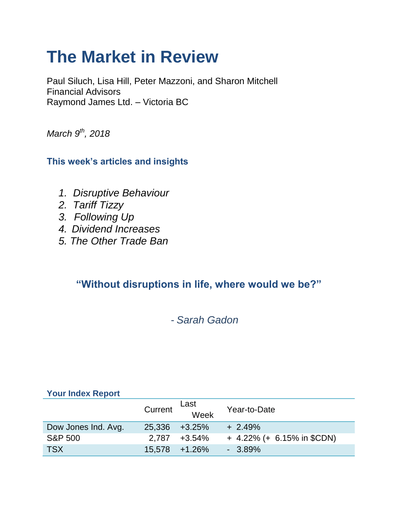# **The Market in Review**

Paul Siluch, Lisa Hill, Peter Mazzoni, and Sharon Mitchell Financial Advisors Raymond James Ltd. – Victoria BC

*March 9th, 2018*

### **This week's articles and insights**

- *1. Disruptive Behaviour*
- *2. Tariff Tizzy*
- *3. Following Up*
- *4. Dividend Increases*
- *5. The Other Trade Ban*

## **"Without disruptions in life, where would we be?"**

## - *Sarah Gadon*

### **Your Index Report**

|                     | Current       | Last<br>Week    | Year-to-Date                 |
|---------------------|---------------|-----------------|------------------------------|
| Dow Jones Ind. Avg. | 25,336 +3.25% |                 | $+2.49%$                     |
| <b>S&amp;P 500</b>  | 2.787         | +3.54%          | $+$ 4.22% (+ 6.15% in \$CDN) |
| <b>TSX</b>          |               | $15,578$ +1.26% | $-3.89\%$                    |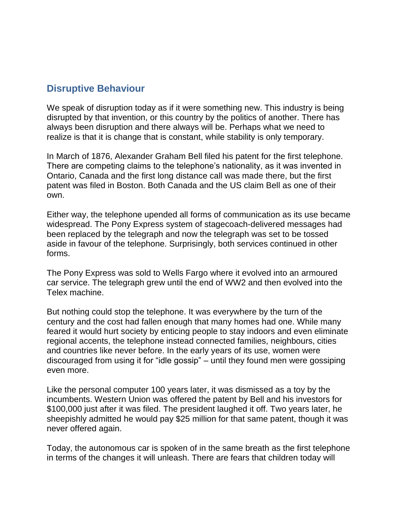### **Disruptive Behaviour**

We speak of disruption today as if it were something new. This industry is being disrupted by that invention, or this country by the politics of another. There has always been disruption and there always will be. Perhaps what we need to realize is that it is change that is constant, while stability is only temporary.

In March of 1876, Alexander Graham Bell filed his patent for the first telephone. There are competing claims to the telephone's nationality, as it was invented in Ontario, Canada and the first long distance call was made there, but the first patent was filed in Boston. Both Canada and the US claim Bell as one of their own.

Either way, the telephone upended all forms of communication as its use became widespread. The Pony Express system of stagecoach-delivered messages had been replaced by the telegraph and now the telegraph was set to be tossed aside in favour of the telephone. Surprisingly, both services continued in other forms.

The Pony Express was sold to Wells Fargo where it evolved into an armoured car service. The telegraph grew until the end of WW2 and then evolved into the Telex machine.

But nothing could stop the telephone. It was everywhere by the turn of the century and the cost had fallen enough that many homes had one. While many feared it would hurt society by enticing people to stay indoors and even eliminate regional accents, the telephone instead connected families, neighbours, cities and countries like never before. In the early years of its use, women were discouraged from using it for "idle gossip" – until they found men were gossiping even more.

Like the personal computer 100 years later, it was dismissed as a toy by the incumbents. Western Union was offered the patent by Bell and his investors for \$100,000 just after it was filed. The president laughed it off. Two years later, he sheepishly admitted he would pay \$25 million for that same patent, though it was never offered again.

Today, the autonomous car is spoken of in the same breath as the first telephone in terms of the changes it will unleash. There are fears that children today will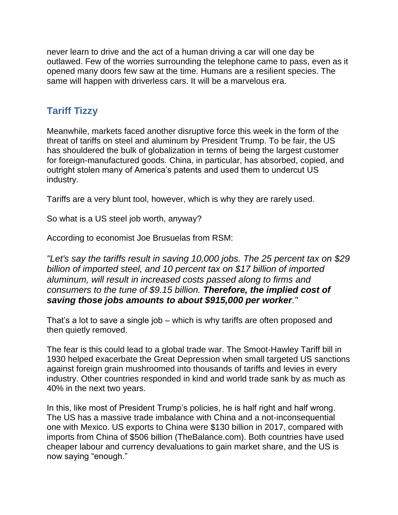never learn to drive and the act of a human driving a car will one day be outlawed. Few of the worries surrounding the telephone came to pass, even as it opened many doors few saw at the time. Humans are a resilient species. The same will happen with driverless cars. It will be a marvelous era.

### **Tariff Tizzy**

Meanwhile, markets faced another disruptive force this week in the form of the threat of tariffs on steel and aluminum by President Trump. To be fair, the US has shouldered the bulk of globalization in terms of being the largest customer for foreign-manufactured goods. China, in particular, has absorbed, copied, and outright stolen many of America's patents and used them to undercut US industry.

Tariffs are a very blunt tool, however, which is why they are rarely used.

So what is a US steel job worth, anyway?

According to economist Joe Brusuelas from RSM:

*"Let's say the tariffs result in saving 10,000 jobs. The 25 percent tax on \$29 billion of imported steel, and 10 percent tax on \$17 billion of imported aluminum, will result in increased costs passed along to firms and consumers to the tune of \$9.15 billion. Therefore, the implied cost of saving those jobs amounts to about \$915,000 per worker."*

That's a lot to save a single job – which is why tariffs are often proposed and then quietly removed.

The fear is this could lead to a global trade war. The Smoot-Hawley Tariff bill in 1930 helped exacerbate the Great Depression when small targeted US sanctions against foreign grain mushroomed into thousands of tariffs and levies in every industry. Other countries responded in kind and world trade sank by as much as 40% in the next two years.

In this, like most of President Trump's policies, he is half right and half wrong. The US has a massive trade imbalance with China and a not-inconsequential one with Mexico. US exports to China were \$130 billion in 2017, compared with imports from China of \$506 billion (TheBalance.com). Both countries have used cheaper labour and currency devaluations to gain market share, and the US is now saying "enough."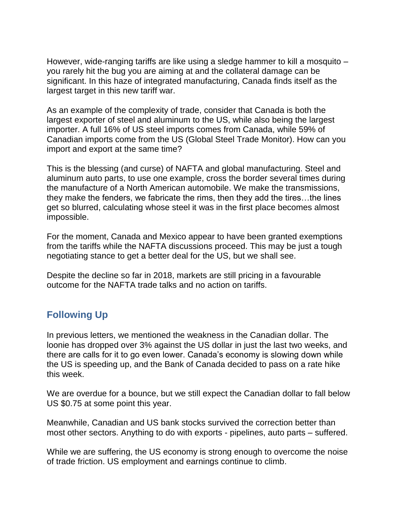However, wide-ranging tariffs are like using a sledge hammer to kill a mosquito – you rarely hit the bug you are aiming at and the collateral damage can be significant. In this haze of integrated manufacturing, Canada finds itself as the largest target in this new tariff war.

As an example of the complexity of trade, consider that Canada is both the largest exporter of steel and aluminum to the US, while also being the largest importer. A full 16% of US steel imports comes from Canada, while 59% of Canadian imports come from the US (Global Steel Trade Monitor). How can you import and export at the same time?

This is the blessing (and curse) of NAFTA and global manufacturing. Steel and aluminum auto parts, to use one example, cross the border several times during the manufacture of a North American automobile. We make the transmissions, they make the fenders, we fabricate the rims, then they add the tires…the lines get so blurred, calculating whose steel it was in the first place becomes almost impossible.

For the moment, Canada and Mexico appear to have been granted exemptions from the tariffs while the NAFTA discussions proceed. This may be just a tough negotiating stance to get a better deal for the US, but we shall see.

Despite the decline so far in 2018, markets are still pricing in a favourable outcome for the NAFTA trade talks and no action on tariffs.

### **Following Up**

In previous letters, we mentioned the weakness in the Canadian dollar. The loonie has dropped over 3% against the US dollar in just the last two weeks, and there are calls for it to go even lower. Canada's economy is slowing down while the US is speeding up, and the Bank of Canada decided to pass on a rate hike this week.

We are overdue for a bounce, but we still expect the Canadian dollar to fall below US \$0.75 at some point this year.

Meanwhile, Canadian and US bank stocks survived the correction better than most other sectors. Anything to do with exports - pipelines, auto parts – suffered.

While we are suffering, the US economy is strong enough to overcome the noise of trade friction. US employment and earnings continue to climb.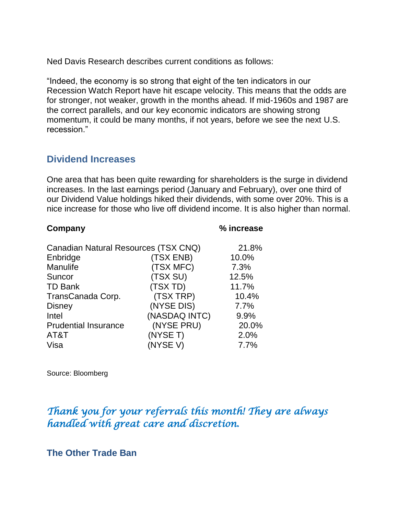Ned Davis Research describes current conditions as follows:

"Indeed, the economy is so strong that eight of the ten indicators in our Recession Watch Report have hit escape velocity. This means that the odds are for stronger, not weaker, growth in the months ahead. If mid-1960s and 1987 are the correct parallels, and our key economic indicators are showing strong momentum, it could be many months, if not years, before we see the next U.S. recession."

### **Dividend Increases**

One area that has been quite rewarding for shareholders is the surge in dividend increases. In the last earnings period (January and February), over one third of our Dividend Value holdings hiked their dividends, with some over 20%. This is a nice increase for those who live off dividend income. It is also higher than normal.

#### **Company % increase**

| Canadian Natural Resources (TSX CNQ) |       |  |
|--------------------------------------|-------|--|
| (TSX ENB)                            | 10.0% |  |
| (TSX MFC)                            | 7.3%  |  |
| (TSX SU)                             | 12.5% |  |
| (TSX TD)                             | 11.7% |  |
| (TSX TRP)                            | 10.4% |  |
| (NYSE DIS)                           | 7.7%  |  |
| (NASDAQ INTC)                        | 9.9%  |  |
| (NYSE PRU)                           | 20.0% |  |
| (NYSE T)                             | 2.0%  |  |
| (NYSE V)                             | 7.7%  |  |
|                                      |       |  |

Source: Bloomberg

### *Thank you for your referrals this month! They are always handled with great care and discretion.*

#### **The Other Trade Ban**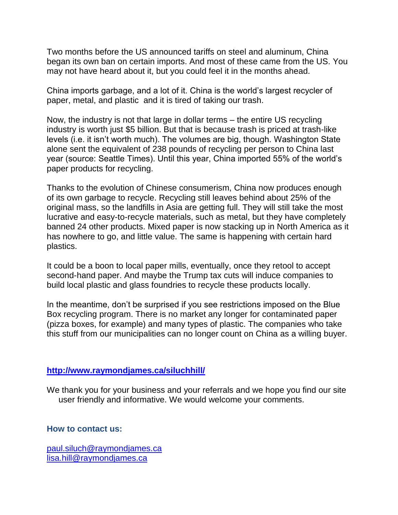Two months before the US announced tariffs on steel and aluminum, China began its own ban on certain imports. And most of these came from the US. You may not have heard about it, but you could feel it in the months ahead.

China imports garbage, and a lot of it. China is the world's largest recycler of paper, metal, and plastic and it is tired of taking our trash.

Now, the industry is not that large in dollar terms – the entire US recycling industry is worth just \$5 billion. But that is because trash is priced at trash-like levels (i.e. it isn't worth much). The volumes are big, though. Washington State alone sent the equivalent of 238 pounds of recycling per person to China last year (source: Seattle Times). Until this year, China imported 55% of the world's paper products for recycling.

Thanks to the evolution of Chinese consumerism, China now produces enough of its own garbage to recycle. Recycling still leaves behind about 25% of the original mass, so the landfills in Asia are getting full. They will still take the most lucrative and easy-to-recycle materials, such as metal, but they have completely banned 24 other products. Mixed paper is now stacking up in North America as it has nowhere to go, and little value. The same is happening with certain hard plastics.

It could be a boon to local paper mills, eventually, once they retool to accept second-hand paper. And maybe the Trump tax cuts will induce companies to build local plastic and glass foundries to recycle these products locally.

In the meantime, don't be surprised if you see restrictions imposed on the Blue Box recycling program. There is no market any longer for contaminated paper (pizza boxes, for example) and many types of plastic. The companies who take this stuff from our municipalities can no longer count on China as a willing buyer.

#### **<http://www.raymondjames.ca/siluchhill/>**

We thank you for your business and your referrals and we hope you find our site user friendly and informative. We would welcome your comments.

#### **How to contact us:**

[paul.siluch@raymondjames.ca](https://owa-kel.raymondjames.ca/owa/redir.aspx?SURL=z0BxOCXDlQ-Aad1f_a9igaARxm5Rd1VXE7UcmD4mZ3IZiacj7DPTCG0AYQBpAGwAdABvADoAcABhAHUAbAAuAHMAaQBsAHUAYwBoAEAAcgBhAHkAbQBvAG4AZABqAGEAbQBlAHMALgBjAGEA&URL=mailto%3apaul.siluch%40raymondjames.ca) [lisa.hill@raymondjames.ca](https://owa-kel.raymondjames.ca/owa/redir.aspx?SURL=glaBgdTdxPMFpiw4eumg-PzZXpo9vJyObrXLs1TKtIAZiacj7DPTCG0AYQBpAGwAdABvADoAbABpAHMAYQAuAGgAaQBsAGwAQAByAGEAeQBtAG8AbgBkAGoAYQBtAGUAcwAuAGMAYQA.&URL=mailto%3alisa.hill%40raymondjames.ca)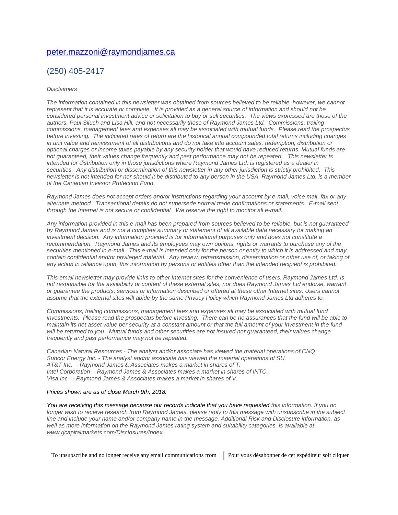#### [peter.mazzoni@raymondjames.ca](https://owa-kel.raymondjames.ca/owa/redir.aspx?SURL=3c7mDL9-cZxYXt7CvkOu20QVFy1WCaDQxUZ3BQE6vecZiacj7DPTCG0AYQBpAGwAdABvADoAcABlAHQAZQByAC4AbQBhAHoAegBvAG4AaQBAAHIAYQB5AG0AbwBuAGQAagBhAG0AZQBzAC4AYwBhAA..&URL=mailto%3apeter.mazzoni%40raymondjames.ca)

#### (250) 405-2417

#### *Disclaimers*

*[The information contained in this newsletter was obtained from sources believed to be reliable, however, we cannot](https://owa-kel.raymondjames.ca/owa/redir.aspx?SURL=z0BxOCXDlQ-Aad1f_a9igaARxm5Rd1VXE7UcmD4mZ3IZiacj7DPTCG0AYQBpAGwAdABvADoAcABhAHUAbAAuAHMAaQBsAHUAYwBoAEAAcgBhAHkAbQBvAG4AZABqAGEAbQBlAHMALgBjAGEA&URL=mailto%3apaul.siluch%40raymondjames.ca)  represent that it is accurate or complete. [It is provided as a general source of information and should not be](https://owa-kel.raymondjames.ca/owa/redir.aspx?SURL=z0BxOCXDlQ-Aad1f_a9igaARxm5Rd1VXE7UcmD4mZ3IZiacj7DPTCG0AYQBpAGwAdABvADoAcABhAHUAbAAuAHMAaQBsAHUAYwBoAEAAcgBhAHkAbQBvAG4AZABqAGEAbQBlAHMALgBjAGEA&URL=mailto%3apaul.siluch%40raymondjames.ca)  [considered personal investment advice or solicitation to buy or sell securities.](https://owa-kel.raymondjames.ca/owa/redir.aspx?SURL=z0BxOCXDlQ-Aad1f_a9igaARxm5Rd1VXE7UcmD4mZ3IZiacj7DPTCG0AYQBpAGwAdABvADoAcABhAHUAbAAuAHMAaQBsAHUAYwBoAEAAcgBhAHkAbQBvAG4AZABqAGEAbQBlAHMALgBjAGEA&URL=mailto%3apaul.siluch%40raymondjames.ca) The views expressed are those of the [authors, Paul Siluch and Lisa Hill, and not necessarily those of Raymond James Ltd.](https://owa-kel.raymondjames.ca/owa/redir.aspx?SURL=z0BxOCXDlQ-Aad1f_a9igaARxm5Rd1VXE7UcmD4mZ3IZiacj7DPTCG0AYQBpAGwAdABvADoAcABhAHUAbAAuAHMAaQBsAHUAYwBoAEAAcgBhAHkAbQBvAG4AZABqAGEAbQBlAHMALgBjAGEA&URL=mailto%3apaul.siluch%40raymondjames.ca) Commissions, trailing commissions, management [fees and expenses all may be associated with mutual funds.](https://owa-kel.raymondjames.ca/owa/redir.aspx?SURL=z0BxOCXDlQ-Aad1f_a9igaARxm5Rd1VXE7UcmD4mZ3IZiacj7DPTCG0AYQBpAGwAdABvADoAcABhAHUAbAAuAHMAaQBsAHUAYwBoAEAAcgBhAHkAbQBvAG4AZABqAGEAbQBlAHMALgBjAGEA&URL=mailto%3apaul.siluch%40raymondjames.ca) Please read the prospectus before investing. [The indicated rates of return are the historical annual compounded total returns including changes](https://owa-kel.raymondjames.ca/owa/redir.aspx?SURL=z0BxOCXDlQ-Aad1f_a9igaARxm5Rd1VXE7UcmD4mZ3IZiacj7DPTCG0AYQBpAGwAdABvADoAcABhAHUAbAAuAHMAaQBsAHUAYwBoAEAAcgBhAHkAbQBvAG4AZABqAGEAbQBlAHMALgBjAGEA&URL=mailto%3apaul.siluch%40raymondjames.ca)  [in unit value and reinvestment of all distributions and do not take into account sales, redemption, distribution or](https://owa-kel.raymondjames.ca/owa/redir.aspx?SURL=z0BxOCXDlQ-Aad1f_a9igaARxm5Rd1VXE7UcmD4mZ3IZiacj7DPTCG0AYQBpAGwAdABvADoAcABhAHUAbAAuAHMAaQBsAHUAYwBoAEAAcgBhAHkAbQBvAG4AZABqAGEAbQBlAHMALgBjAGEA&URL=mailto%3apaul.siluch%40raymondjames.ca)  [optional charges or income taxes payable by any security holder that would have reduced returns. Mutual funds are](https://owa-kel.raymondjames.ca/owa/redir.aspx?SURL=z0BxOCXDlQ-Aad1f_a9igaARxm5Rd1VXE7UcmD4mZ3IZiacj7DPTCG0AYQBpAGwAdABvADoAcABhAHUAbAAuAHMAaQBsAHUAYwBoAEAAcgBhAHkAbQBvAG4AZABqAGEAbQBlAHMALgBjAGEA&URL=mailto%3apaul.siluch%40raymondjames.ca)  [not guaranteed, their values change frequently and past performance may not be repeated.](https://owa-kel.raymondjames.ca/owa/redir.aspx?SURL=z0BxOCXDlQ-Aad1f_a9igaARxm5Rd1VXE7UcmD4mZ3IZiacj7DPTCG0AYQBpAGwAdABvADoAcABhAHUAbAAuAHMAaQBsAHUAYwBoAEAAcgBhAHkAbQBvAG4AZABqAGEAbQBlAHMALgBjAGEA&URL=mailto%3apaul.siluch%40raymondjames.ca) This newsletter is [intended for distribution only in those jurisdictions where Raymond James Ltd. is registered as a dealer in](https://owa-kel.raymondjames.ca/owa/redir.aspx?SURL=z0BxOCXDlQ-Aad1f_a9igaARxm5Rd1VXE7UcmD4mZ3IZiacj7DPTCG0AYQBpAGwAdABvADoAcABhAHUAbAAuAHMAaQBsAHUAYwBoAEAAcgBhAHkAbQBvAG4AZABqAGEAbQBlAHMALgBjAGEA&URL=mailto%3apaul.siluch%40raymondjames.ca)  securities. [Any distribution or dissemination of this newsletter in any other jurisdiction is strictly prohibited.](https://owa-kel.raymondjames.ca/owa/redir.aspx?SURL=z0BxOCXDlQ-Aad1f_a9igaARxm5Rd1VXE7UcmD4mZ3IZiacj7DPTCG0AYQBpAGwAdABvADoAcABhAHUAbAAuAHMAaQBsAHUAYwBoAEAAcgBhAHkAbQBvAG4AZABqAGEAbQBlAHMALgBjAGEA&URL=mailto%3apaul.siluch%40raymondjames.ca) This [newsletter is not intended for nor should it be distributed to any person in the USA. Raymond James Ltd. is a member](https://owa-kel.raymondjames.ca/owa/redir.aspx?SURL=z0BxOCXDlQ-Aad1f_a9igaARxm5Rd1VXE7UcmD4mZ3IZiacj7DPTCG0AYQBpAGwAdABvADoAcABhAHUAbAAuAHMAaQBsAHUAYwBoAEAAcgBhAHkAbQBvAG4AZABqAGEAbQBlAHMALgBjAGEA&URL=mailto%3apaul.siluch%40raymondjames.ca)  [of the Canadian Investor Protection Fund.](https://owa-kel.raymondjames.ca/owa/redir.aspx?SURL=z0BxOCXDlQ-Aad1f_a9igaARxm5Rd1VXE7UcmD4mZ3IZiacj7DPTCG0AYQBpAGwAdABvADoAcABhAHUAbAAuAHMAaQBsAHUAYwBoAEAAcgBhAHkAbQBvAG4AZABqAGEAbQBlAHMALgBjAGEA&URL=mailto%3apaul.siluch%40raymondjames.ca)* 

*Raymond James [does not accept orders and/or instructions regarding your account by e-mail, voice mail, fax or any](https://owa-kel.raymondjames.ca/owa/redir.aspx?SURL=z0BxOCXDlQ-Aad1f_a9igaARxm5Rd1VXE7UcmD4mZ3IZiacj7DPTCG0AYQBpAGwAdABvADoAcABhAHUAbAAuAHMAaQBsAHUAYwBoAEAAcgBhAHkAbQBvAG4AZABqAGEAbQBlAHMALgBjAGEA&URL=mailto%3apaul.siluch%40raymondjames.ca)  alternate method. [Transactional details do not supersede normal trade confirmations or statements.](https://owa-kel.raymondjames.ca/owa/redir.aspx?SURL=z0BxOCXDlQ-Aad1f_a9igaARxm5Rd1VXE7UcmD4mZ3IZiacj7DPTCG0AYQBpAGwAdABvADoAcABhAHUAbAAuAHMAaQBsAHUAYwBoAEAAcgBhAHkAbQBvAG4AZABqAGEAbQBlAHMALgBjAGEA&URL=mailto%3apaul.siluch%40raymondjames.ca) E-mail sent [through the Internet is not secure or confidential.](https://owa-kel.raymondjames.ca/owa/redir.aspx?SURL=z0BxOCXDlQ-Aad1f_a9igaARxm5Rd1VXE7UcmD4mZ3IZiacj7DPTCG0AYQBpAGwAdABvADoAcABhAHUAbAAuAHMAaQBsAHUAYwBoAEAAcgBhAHkAbQBvAG4AZABqAGEAbQBlAHMALgBjAGEA&URL=mailto%3apaul.siluch%40raymondjames.ca) We reserve the right to monitor all e-mail.*

*[Any information provided in this e-mail has been prepared from sources believed to be reliable, but is not guaranteed](https://owa-kel.raymondjames.ca/owa/redir.aspx?SURL=z0BxOCXDlQ-Aad1f_a9igaARxm5Rd1VXE7UcmD4mZ3IZiacj7DPTCG0AYQBpAGwAdABvADoAcABhAHUAbAAuAHMAaQBsAHUAYwBoAEAAcgBhAHkAbQBvAG4AZABqAGEAbQBlAHMALgBjAGEA&URL=mailto%3apaul.siluch%40raymondjames.ca)  by Raymond James [and is not a complete summary or statement of all available data necessary for making an](https://owa-kel.raymondjames.ca/owa/redir.aspx?SURL=z0BxOCXDlQ-Aad1f_a9igaARxm5Rd1VXE7UcmD4mZ3IZiacj7DPTCG0AYQBpAGwAdABvADoAcABhAHUAbAAuAHMAaQBsAHUAYwBoAEAAcgBhAHkAbQBvAG4AZABqAGEAbQBlAHMALgBjAGEA&URL=mailto%3apaul.siluch%40raymondjames.ca)  investment decision. [Any information provided is for informational purposes only and does not constitute a](https://owa-kel.raymondjames.ca/owa/redir.aspx?SURL=z0BxOCXDlQ-Aad1f_a9igaARxm5Rd1VXE7UcmD4mZ3IZiacj7DPTCG0AYQBpAGwAdABvADoAcABhAHUAbAAuAHMAaQBsAHUAYwBoAEAAcgBhAHkAbQBvAG4AZABqAGEAbQBlAHMALgBjAGEA&URL=mailto%3apaul.siluch%40raymondjames.ca)  recommendation. Raymond James [and its employees may own options, rights or warrants to purchase any of the](https://owa-kel.raymondjames.ca/owa/redir.aspx?SURL=z0BxOCXDlQ-Aad1f_a9igaARxm5Rd1VXE7UcmD4mZ3IZiacj7DPTCG0AYQBpAGwAdABvADoAcABhAHUAbAAuAHMAaQBsAHUAYwBoAEAAcgBhAHkAbQBvAG4AZABqAGEAbQBlAHMALgBjAGEA&URL=mailto%3apaul.siluch%40raymondjames.ca)  securities mentioned in e-mail. [This e-mail is intended only for the person or entity to which it is addressed and may](https://owa-kel.raymondjames.ca/owa/redir.aspx?SURL=z0BxOCXDlQ-Aad1f_a9igaARxm5Rd1VXE7UcmD4mZ3IZiacj7DPTCG0AYQBpAGwAdABvADoAcABhAHUAbAAuAHMAaQBsAHUAYwBoAEAAcgBhAHkAbQBvAG4AZABqAGEAbQBlAHMALgBjAGEA&URL=mailto%3apaul.siluch%40raymondjames.ca)  contain confidential and/or privileged material. [Any review, retransmission, dissemination or other use of, or taking of](https://owa-kel.raymondjames.ca/owa/redir.aspx?SURL=z0BxOCXDlQ-Aad1f_a9igaARxm5Rd1VXE7UcmD4mZ3IZiacj7DPTCG0AYQBpAGwAdABvADoAcABhAHUAbAAuAHMAaQBsAHUAYwBoAEAAcgBhAHkAbQBvAG4AZABqAGEAbQBlAHMALgBjAGEA&URL=mailto%3apaul.siluch%40raymondjames.ca)  [any action in reliance upon, this information by persons or entities other than the intended recipient is prohibited.](https://owa-kel.raymondjames.ca/owa/redir.aspx?SURL=z0BxOCXDlQ-Aad1f_a9igaARxm5Rd1VXE7UcmD4mZ3IZiacj7DPTCG0AYQBpAGwAdABvADoAcABhAHUAbAAuAHMAaQBsAHUAYwBoAEAAcgBhAHkAbQBvAG4AZABqAGEAbQBlAHMALgBjAGEA&URL=mailto%3apaul.siluch%40raymondjames.ca)*

*This email newsletter may provide links to other Internet sites for the convenience of users. Raymond James Ltd. is not responsible for the availability or content of these external sites, nor does Raymond James Ltd endorse, warrant or guarantee the products, services or information described or offered at these other Internet sites. Users cannot assume that the external sites will abide by the same Privacy Policy which Raymond James Ltd adheres to.*

*Commissions, trailing commissions, management fees and expenses all may be associated with mutual fund investments. Please read the prospectus before investing. There can be no assurances that the fund will be able to maintain its net asset value per security at a constant amount or that the full amount of your investment in the fund will be returned to you. Mutual funds and other securities are not insured nor guaranteed, their values change frequently and past performance may not be repeated.*

*Canadian Natural Resources - The analyst and/or associate has viewed the material operations of CNQ. Suncor Energy Inc. - The analyst and/or associate has viewed the material operations of SU. AT&T Inc. - Raymond James & Associates makes a market in shares of T. Intel Corporation - Raymond James & Associates makes a market in shares of INTC. Visa Inc. - Raymond James & Associates makes a market in shares of V.*

#### *[Prices shown are as of close March 9th, 2018.](https://owa-kel.raymondjames.ca/owa/redir.aspx?SURL=z0BxOCXDlQ-Aad1f_a9igaARxm5Rd1VXE7UcmD4mZ3IZiacj7DPTCG0AYQBpAGwAdABvADoAcABhAHUAbAAuAHMAaQBsAHUAYwBoAEAAcgBhAHkAbQBvAG4AZABqAGEAbQBlAHMALgBjAGEA&URL=mailto%3apaul.siluch%40raymondjames.ca)*

*You are receiving this message because our records indicate that you have requested this information. If you no longer wish to receive research from Raymond James, please reply to this message with unsubscribe in the subject line and include your name and/or company name in the message. Additional Risk and Disclosure information, as well as more information on the Raymond James rating system and suitability categories, is available at [www.rjcapitalmarkets.com/Disclosures/Index.](https://owa-kel.raymondjames.ca/owa/redir.aspx?SURL=xhOB4gpVfLOskwdkUL9L2f18Fq4IG2rgvMfuIIX7BlwZiacj7DPTCGgAdAB0AHAAOgAvAC8AdwB3AHcALgByAGoAYwBhAHAAaQB0AGEAbABtAGEAcgBrAGUAdABzAC4AYwBvAG0ALwBEAGkAcwBjAGwAbwBzAHUAcgBlAHMALwBJAG4AZABlAHgA&URL=http%3a%2f%2fwww.rjcapitalmarkets.com%2fDisclosures%2fIndex)*

To unsubscribe and no longer receive any email communications from Pour vous désabonner de cet expéditeur soit cliquer